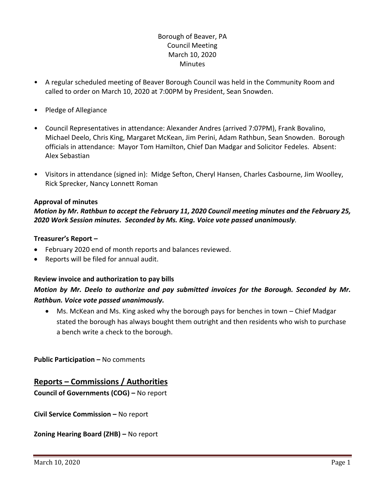# Borough of Beaver, PA Council Meeting March 10, 2020 **Minutes**

- A regular scheduled meeting of Beaver Borough Council was held in the Community Room and called to order on March 10, 2020 at 7:00PM by President, Sean Snowden.
- Pledge of Allegiance
- Council Representatives in attendance: Alexander Andres (arrived 7:07PM), Frank Bovalino, Michael Deelo, Chris King, Margaret McKean, Jim Perini, Adam Rathbun, Sean Snowden. Borough officials in attendance: Mayor Tom Hamilton, Chief Dan Madgar and Solicitor Fedeles. Absent: Alex Sebastian
- Visitors in attendance (signed in): Midge Sefton, Cheryl Hansen, Charles Casbourne, Jim Woolley, Rick Sprecker, Nancy Lonnett Roman

#### **Approval of minutes**

# *Motion by Mr. Rathbun to accept the February 11, 2020 Council meeting minutes and the February 25, 2020 Work Session minutes. Seconded by Ms. King. Voice vote passed unanimously.*

#### **Treasurer's Report –**

- February 2020 end of month reports and balances reviewed.
- Reports will be filed for annual audit.

#### **Review invoice and authorization to pay bills**

# *Motion by Mr. Deelo to authorize and pay submitted invoices for the Borough. Seconded by Mr. Rathbun. Voice vote passed unanimously.*

 Ms. McKean and Ms. King asked why the borough pays for benches in town – Chief Madgar stated the borough has always bought them outright and then residents who wish to purchase a bench write a check to the borough.

**Public Participation – No comments** 

## **Reports – Commissions / Authorities**

**Council of Governments (COG) –** No report

**Civil Service Commission –** No report

**Zoning Hearing Board (ZHB) –** No report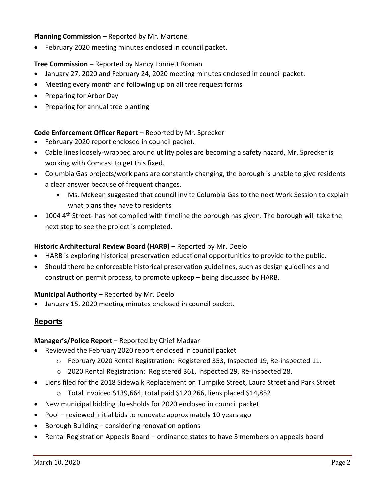#### **Planning Commission –** Reported by Mr. Martone

February 2020 meeting minutes enclosed in council packet.

# **Tree Commission –** Reported by Nancy Lonnett Roman

- January 27, 2020 and February 24, 2020 meeting minutes enclosed in council packet.
- Meeting every month and following up on all tree request forms
- Preparing for Arbor Day
- Preparing for annual tree planting

# **Code Enforcement Officer Report –** Reported by Mr. Sprecker

- February 2020 report enclosed in council packet.
- Cable lines loosely-wrapped around utility poles are becoming a safety hazard, Mr. Sprecker is working with Comcast to get this fixed.
- Columbia Gas projects/work pans are constantly changing, the borough is unable to give residents a clear answer because of frequent changes.
	- Ms. McKean suggested that council invite Columbia Gas to the next Work Session to explain what plans they have to residents
- 1004 4<sup>th</sup> Street- has not complied with timeline the borough has given. The borough will take the next step to see the project is completed.

## **Historic Architectural Review Board (HARB) –** Reported by Mr. Deelo

- HARB is exploring historical preservation educational opportunities to provide to the public.
- Should there be enforceable historical preservation guidelines, such as design guidelines and construction permit process, to promote upkeep – being discussed by HARB.

## **Municipal Authority –** Reported by Mr. Deelo

January 15, 2020 meeting minutes enclosed in council packet.

## **Reports**

## **Manager's/Police Report –** Reported by Chief Madgar

- Reviewed the February 2020 report enclosed in council packet
	- o February 2020 Rental Registration: Registered 353, Inspected 19, Re-inspected 11.
	- o 2020 Rental Registration: Registered 361, Inspected 29, Re-inspected 28.
- Liens filed for the 2018 Sidewalk Replacement on Turnpike Street, Laura Street and Park Street
	- o Total invoiced \$139,664, total paid \$120,266, liens placed \$14,852
- New municipal bidding thresholds for 2020 enclosed in council packet
- Pool reviewed initial bids to renovate approximately 10 years ago
- Borough Building considering renovation options
- Rental Registration Appeals Board ordinance states to have 3 members on appeals board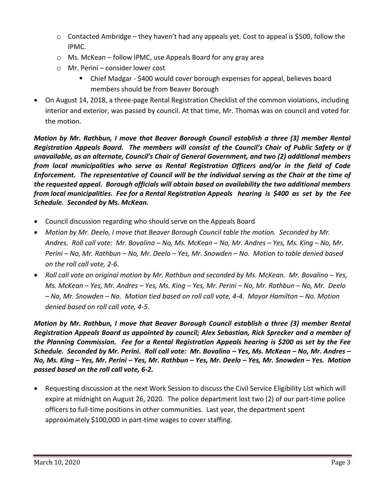- $\circ$  Contacted Ambridge they haven't had any appeals yet. Cost to appeal is \$500, follow the IPMC.
- o Ms. McKean follow IPMC, use Appeals Board for any gray area
- o Mr. Perini consider lower cost
	- Chief Madgar \$400 would cover borough expenses for appeal, believes board members should be from Beaver Borough
- On August 14, 2018, a three-page Rental Registration Checklist of the common violations, including interior and exterior, was passed by council. At that time, Mr. Thomas was on council and voted for the motion.

*Motion by Mr. Rathbun, I move that Beaver Borough Council establish a three (3) member Rental Registration Appeals Board. The members will consist of the Council's Chair of Public Safety or if unavailable, as an alternate, Council's Chair of General Government, and two (2) additional members from local municipalities who serve as Rental Registration Officers and/or in the field of Code Enforcement. The representative of Council will be the individual serving as the Chair at the time of the requested appeal. Borough officials will obtain based on availability the two additional members from local municipalities. Fee for a Rental Registration Appeals hearing is \$400 as set by the Fee Schedule. Seconded by Ms. McKean.*

- Council discussion regarding who should serve on the Appeals Board
- *Motion by Mr. Deelo, I move that Beaver Borough Council table the motion. Seconded by Mr. Andres. Roll call vote: Mr. Bovalino – No, Ms. McKean – No, Mr. Andres – Yes, Ms. King – No, Mr. Perini – No, Mr. Rathbun – No, Mr. Deelo – Yes, Mr. Snowden – No. Motion to table denied based on the roll call vote, 2-6.*
- **•** Roll call vote on original motion by Mr. Rathbun and seconded by Ms. McKean. Mr. Bovalino Yes, *Ms. McKean – Yes, Mr. Andres – Yes, Ms. King – Yes, Mr. Perini – No, Mr. Rathbun – No, Mr. Deelo – No, Mr. Snowden – No. Motion tied based on roll call vote, 4-4. Mayor Hamilton – No. Motion denied based on roll call vote, 4-5.*

*Motion by Mr. Rathbun, I move that Beaver Borough Council establish a three (3) member Rental Registration Appeals Board as appointed by council; Alex Sebastian, Rick Sprecker and a member of the Planning Commission. Fee for a Rental Registration Appeals hearing is \$200 as set by the Fee Schedule. Seconded by Mr. Perini. Roll call vote: Mr. Bovalino – Yes, Ms. McKean – No, Mr. Andres – No, Ms. King – Yes, Mr. Perini – Yes, Mr. Rathbun – Yes, Mr. Deelo – Yes, Mr. Snowden – Yes. Motion passed based on the roll call vote, 6-2.*

 Requesting discussion at the next Work Session to discuss the Civil Service Eligibility List which will expire at midnight on August 26, 2020. The police department lost two (2) of our part-time police officers to full-time positions in other communities. Last year, the department spent approximately \$100,000 in part-time wages to cover staffing.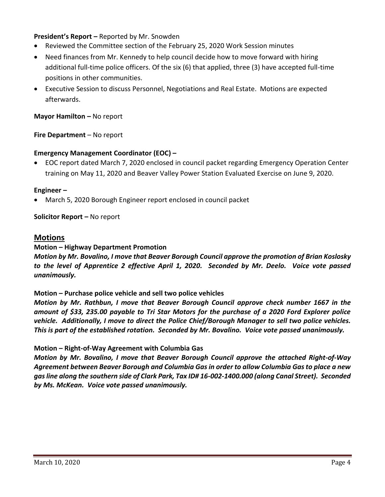## **President's Report –** Reported by Mr. Snowden

- Reviewed the Committee section of the February 25, 2020 Work Session minutes
- Need finances from Mr. Kennedy to help council decide how to move forward with hiring additional full-time police officers. Of the six (6) that applied, three (3) have accepted full-time positions in other communities.
- Executive Session to discuss Personnel, Negotiations and Real Estate. Motions are expected afterwards.

#### **Mayor Hamilton – No report**

**Fire Department** – No report

#### **Emergency Management Coordinator (EOC) –**

 EOC report dated March 7, 2020 enclosed in council packet regarding Emergency Operation Center training on May 11, 2020 and Beaver Valley Power Station Evaluated Exercise on June 9, 2020.

#### **Engineer –**

March 5, 2020 Borough Engineer report enclosed in council packet

**Solicitor Report –** No report

#### **Motions**

#### **Motion – Highway Department Promotion**

*Motion by Mr. Bovalino, I move that Beaver Borough Council approve the promotion of Brian Koslosky to the level of Apprentice 2 effective April 1, 2020. Seconded by Mr. Deelo. Voice vote passed unanimously.*

#### **Motion – Purchase police vehicle and sell two police vehicles**

*Motion by Mr. Rathbun, I move that Beaver Borough Council approve check number 1667 in the amount of \$33, 235.00 payable to Tri Star Motors for the purchase of a 2020 Ford Explorer police vehicle. Additionally, I move to direct the Police Chief/Borough Manager to sell two police vehicles. This is part of the established rotation. Seconded by Mr. Bovalino. Voice vote passed unanimously.*

#### **Motion – Right-of-Way Agreement with Columbia Gas**

*Motion by Mr. Bovalino, I move that Beaver Borough Council approve the attached Right-of-Way Agreement between Beaver Borough and Columbia Gas in order to allow Columbia Gas to place a new gas line along the southern side of Clark Park, Tax ID# 16-002-1400.000 (along Canal Street). Seconded by Ms. McKean. Voice vote passed unanimously.*